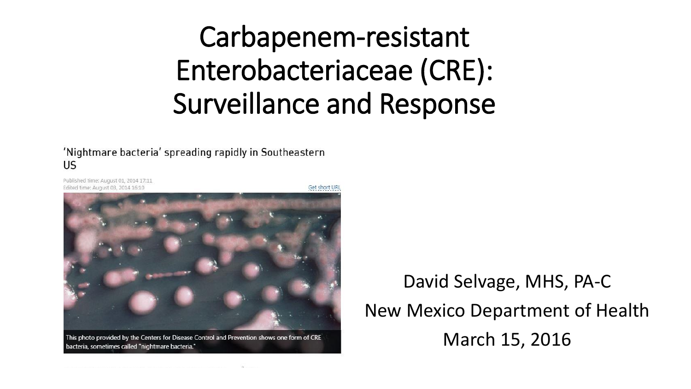#### Carbapenem-resistant Enterobacteriaceae (CRE): Surveillance and Response

'Nightmare bacteria' spreading rapidly in Southeastern US

Published time: August 01, 2014 17:11 Edited time: August 03, 2014 16:10



This photo provided by the Centers for Disease Control and Prevention shows one form of CRE bacteria, sometimes called "nightmare bacteria."

David Selvage, MHS, PA-C New Mexico Department of Health March 15, 2016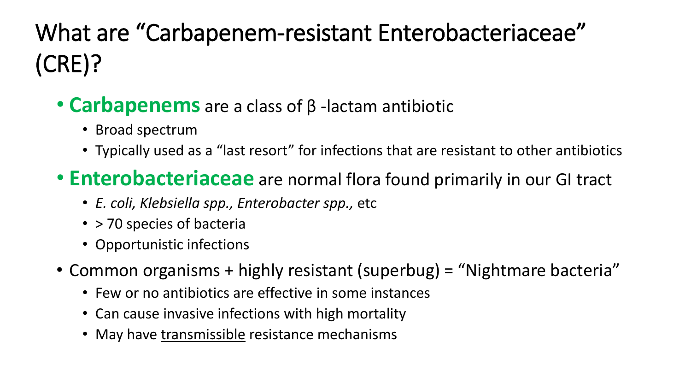#### What are "Carbapenem-resistant Enterobacteriaceae" (CRE)?

- **Carbapenems** are a class of β -lactam antibiotic
	- Broad spectrum
	- Typically used as a "last resort" for infections that are resistant to other antibiotics
- **Enterobacteriaceae** are normal flora found primarily in our GI tract
	- *E. coli, Klebsiella spp., Enterobacter spp.,* etc
	- > 70 species of bacteria
	- Opportunistic infections
- Common organisms + highly resistant (superbug) = "Nightmare bacteria"
	- Few or no antibiotics are effective in some instances
	- Can cause invasive infections with high mortality
	- May have transmissible resistance mechanisms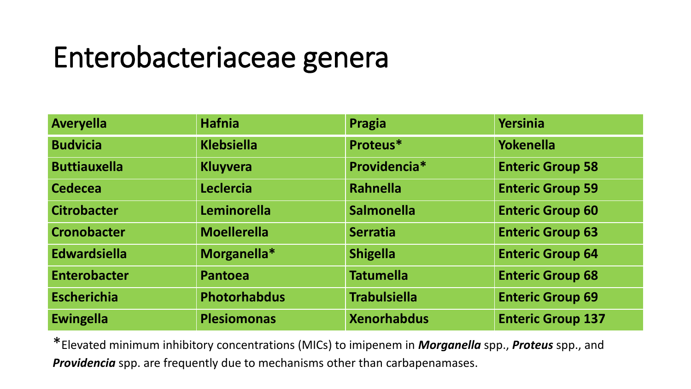#### Enterobacteriaceae genera

| <b>Averyella</b>    | <b>Hafnia</b>      | Pragia              | <b>Yersinia</b>          |
|---------------------|--------------------|---------------------|--------------------------|
| <b>Budvicia</b>     | <b>Klebsiella</b>  | Proteus*            | <b>Yokenella</b>         |
| <b>Buttiauxella</b> | <b>Kluyvera</b>    | Providencia*        | <b>Enteric Group 58</b>  |
| <b>Cedecea</b>      | <b>Leclercia</b>   | Rahnella            | <b>Enteric Group 59</b>  |
| <b>Citrobacter</b>  | <b>Leminorella</b> | <b>Salmonella</b>   | <b>Enteric Group 60</b>  |
| <b>Cronobacter</b>  | <b>Moellerella</b> | <b>Serratia</b>     | <b>Enteric Group 63</b>  |
| <b>Edwardsiella</b> | Morganella*        | <b>Shigella</b>     | <b>Enteric Group 64</b>  |
| <b>Enterobacter</b> | <b>Pantoea</b>     | <b>Tatumella</b>    | <b>Enteric Group 68</b>  |
| <b>Escherichia</b>  | Photorhabdus       | <b>Trabulsiella</b> | <b>Enteric Group 69</b>  |
| <b>Ewingella</b>    | <b>Plesiomonas</b> | <b>Xenorhabdus</b>  | <b>Enteric Group 137</b> |

\*Elevated minimum inhibitory concentrations (MICs) to imipenem in *Morganella* spp., *Proteus* spp., and *Providencia* spp. are frequently due to mechanisms other than carbapenamases.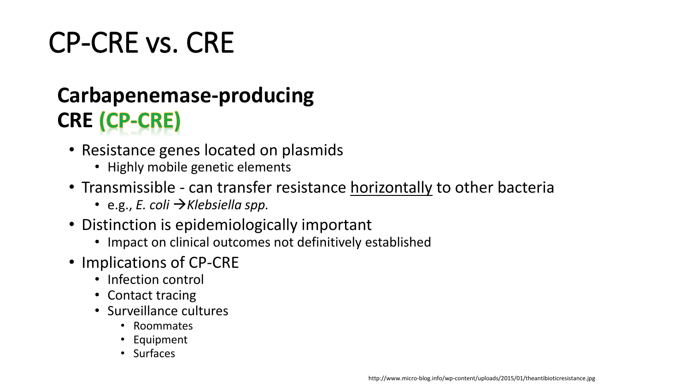# CP-CRE vs. CRE

#### **Carbapenemase-producing CRE** (CP-CRE)

- Resistance genes located on plasmids
	- Highly mobile genetic elements
- Transmissible can transfer resistance horizontally to other bacteria
	- e.g., *E. coli Klebsiella spp.*
- Distinction is epidemiologically important
	- Impact on clinical outcomes not definitively established
- Implications of CP-CRE
	- Infection control
	- Contact tracing
	- Surveillance cultures
		- Roommates
		- Equipment
		- Surfaces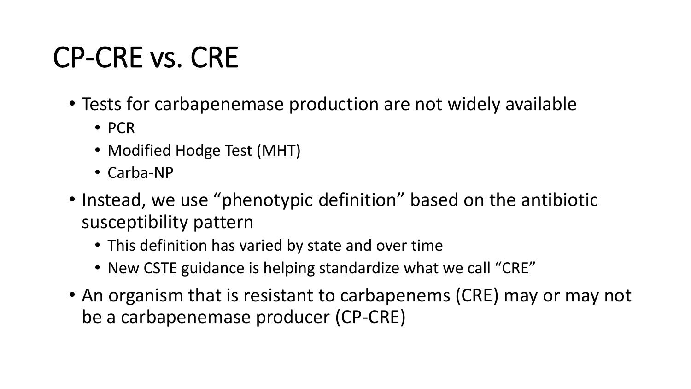#### CP-CRE vs. CRE

- Tests for carbapenemase production are not widely available
	- PCR
	- Modified Hodge Test (MHT)
	- Carba-NP
- Instead, we use "phenotypic definition" based on the antibiotic susceptibility pattern
	- This definition has varied by state and over time
	- New CSTE guidance is helping standardize what we call "CRE"
- An organism that is resistant to carbapenems (CRE) may or may not be a carbapenemase producer (CP-CRE)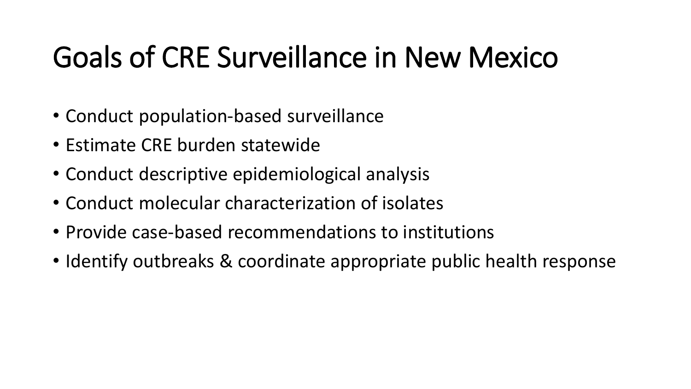#### Goals of CRE Surveillance in New Mexico

- Conduct population-based surveillance
- Estimate CRE burden statewide
- Conduct descriptive epidemiological analysis
- Conduct molecular characterization of isolates
- Provide case-based recommendations to institutions
- Identify outbreaks & coordinate appropriate public health response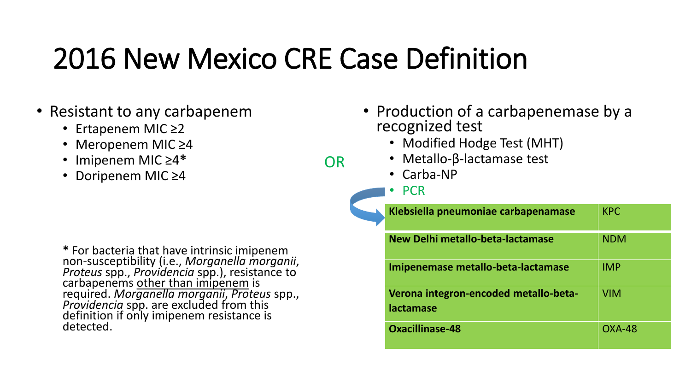## 2016 New Mexico CRE Case Definition

OR

- Resistant to any carbapenem
	- Ertapenem MIC ≥2
	- Meropenem MIC ≥4
	- Imipenem MIC ≥4**\***
	- Doripenem MIC ≥4

**\*** For bacteria that have intrinsic imipenem non-susceptibility (i.e., *Morganella morganii*, *Proteus* spp., *Providencia* spp.), resistance to carbapenems other than imipenem is required. *Morganella morganii*, *Proteus* spp., *Providencia* spp. are excluded from this definition if only imipenem resistance is detected.

- Production of a carbapenemase by a recognized test
	- Modified Hodge Test (MHT)
	- Metallo-β-lactamase test
	- Carba-NP
	- PCR

| Klebsiella pneumoniae carbapenamase                | <b>KPC</b> |
|----------------------------------------------------|------------|
| New Delhi metallo-beta-lactamase                   | <b>NDM</b> |
| Imipenemase metallo-beta-lactamase                 | <b>IMP</b> |
| Verona integron-encoded metallo-beta-<br>lactamase | <b>VIM</b> |
| <b>Oxacillinase-48</b>                             | $OXA-48$   |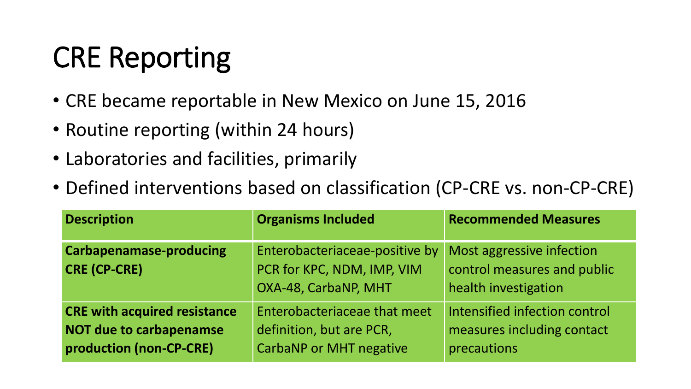# CRE Reporting

- CRE became reportable in New Mexico on June 15, 2016
- Routine reporting (within 24 hours)
- Laboratories and facilities, primarily
- Defined interventions based on classification (CP-CRE vs. non-CP-CRE)

| <b>Description</b>                                                                               | <b>Organisms Included</b>                                                                  | <b>Recommended Measures</b>                                                      |
|--------------------------------------------------------------------------------------------------|--------------------------------------------------------------------------------------------|----------------------------------------------------------------------------------|
| <b>Carbapenamase-producing</b><br><b>CRE (CP-CRE)</b>                                            | Enterobacteriaceae-positive by<br>PCR for KPC, NDM, IMP, VIM<br>OXA-48, CarbaNP, MHT       | Most aggressive infection<br>control measures and public<br>health investigation |
| <b>CRE with acquired resistance</b><br><b>NOT due to carbapenamse</b><br>production (non-CP-CRE) | Enterobacteriaceae that meet<br>definition, but are PCR,<br><b>CarbaNP or MHT negative</b> | Intensified infection control<br>measures including contact<br>precautions       |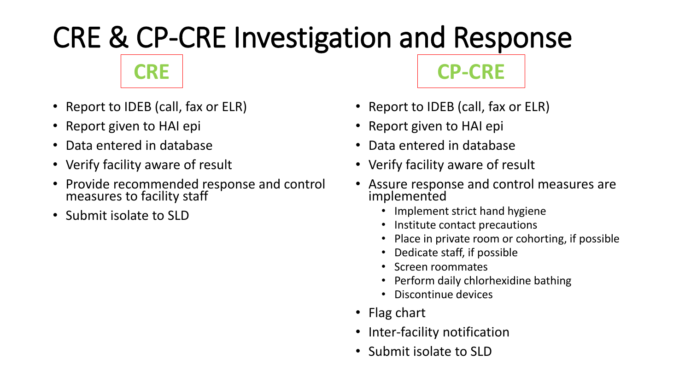# CRE & CP-CRE Investigation and Response

**CRE CP-CRE**

- Report to IDEB (call, fax or ELR)
- Report given to HAI epi
- Data entered in database
- Verify facility aware of result
- Provide recommended response and control measures to facility staff
- Submit isolate to SLD
- Report to IDEB (call, fax or ELR)
- Report given to HAI epi
- Data entered in database
- Verify facility aware of result
- Assure response and control measures are implemented
	- Implement strict hand hygiene
	- Institute contact precautions
	- Place in private room or cohorting, if possible
	- Dedicate staff, if possible
	- Screen roommates
	- Perform daily chlorhexidine bathing
	- Discontinue devices
- Flag chart
- Inter-facility notification
- Submit isolate to SLD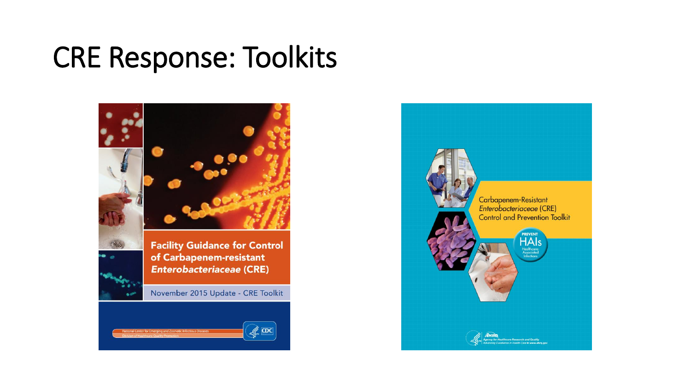#### CRE Response: Toolkits



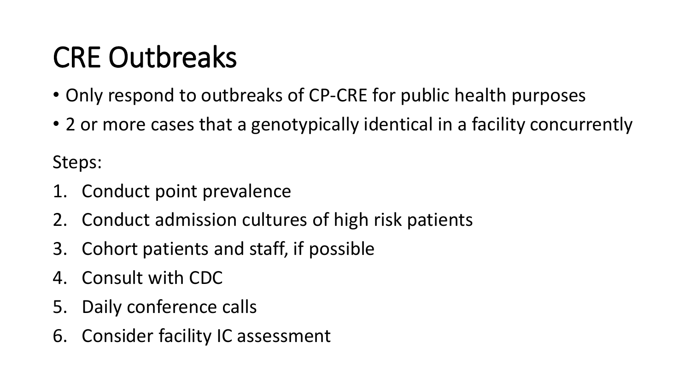# CRE Outbreaks

- Only respond to outbreaks of CP-CRE for public health purposes
- 2 or more cases that a genotypically identical in a facility concurrently

Steps:

- 1. Conduct point prevalence
- 2. Conduct admission cultures of high risk patients
- 3. Cohort patients and staff, if possible
- 4. Consult with CDC
- 5. Daily conference calls
- 6. Consider facility IC assessment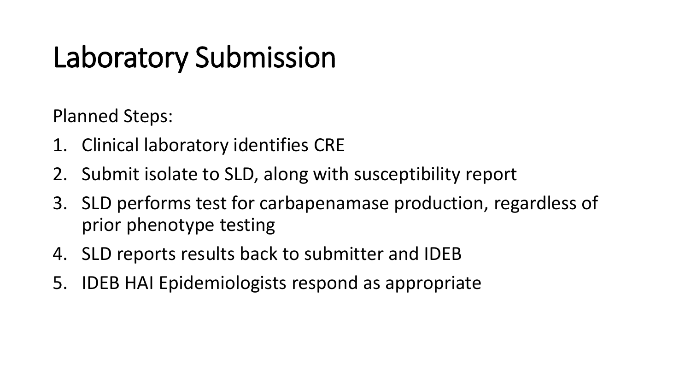# Laboratory Submission

Planned Steps:

- 1. Clinical laboratory identifies CRE
- 2. Submit isolate to SLD, along with susceptibility report
- 3. SLD performs test for carbapenamase production, regardless of prior phenotype testing
- 4. SLD reports results back to submitter and IDEB
- 5. IDEB HAI Epidemiologists respond as appropriate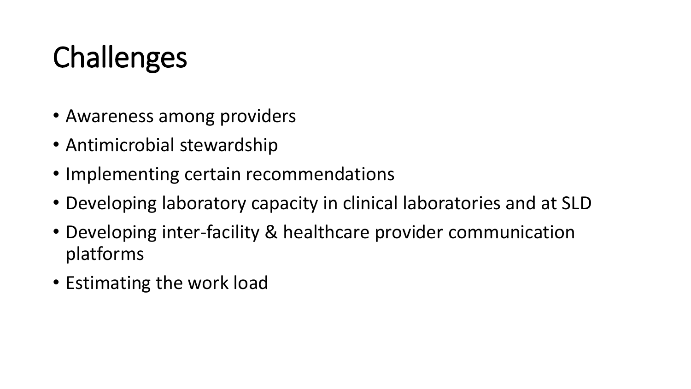# **Challenges**

- Awareness among providers
- Antimicrobial stewardship
- Implementing certain recommendations
- Developing laboratory capacity in clinical laboratories and at SLD
- Developing inter-facility & healthcare provider communication platforms
- Estimating the work load